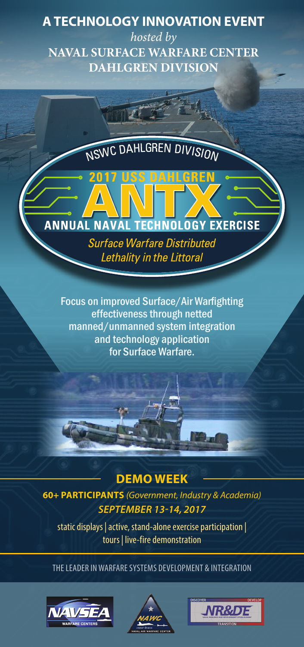### **A TECHNOLOGY INNOVATION EVENT**

*hosted by* **NAVAL SURFACE WARFARE CENTER DAHLGREN DIVISION**

NSWC DAHLGREN DIVISION

# **ANNUAL NAVAL TECHNOLOGY EXERCISE**

**Surface Warfare Distributed** Lethality in the Littoral

Focus on improved Surface/Air Warfighting effectiveness through netted manned/unmanned system integration and technology application for Surface Warfare.

#### **DEMO WEEK**

**60+ PARTICIPANTS** *(Government, Industry & Academia) SEPTEMBER 13-14, 2017*

static displays | active, stand-alone exercise participation | tours | live-fire demonstration

THE LEADER IN WARFARE SYSTEMS DEVELOPMENT & INTEGRATION





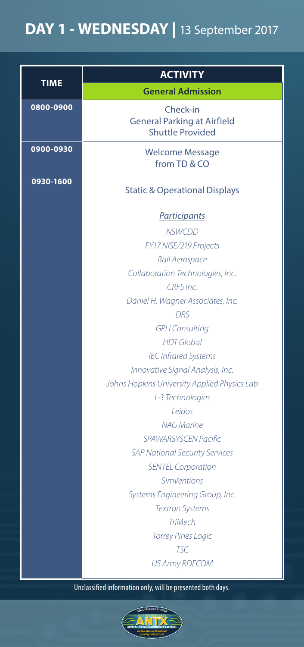# **DAY 1 - WEDNESDAY |** 13 September 2017

|           | <b>ACTIVITY</b>                                                           |  |
|-----------|---------------------------------------------------------------------------|--|
| TIME      | <b>General Admission</b>                                                  |  |
| 0800-0900 | Check-in<br><b>General Parking at Airfield</b><br><b>Shuttle Provided</b> |  |
| 0900-0930 | Welcome Message<br>from TD & CO                                           |  |
| 0930-1600 | <b>Static &amp; Operational Displays</b>                                  |  |
|           | <b>Participants</b>                                                       |  |
|           | <b>NSWCDD</b>                                                             |  |
|           | FY17 NISE/219 Projects                                                    |  |
|           | <b>Ball Aerospace</b>                                                     |  |
|           | Collaboration Technologies, Inc.                                          |  |
|           | CRES <sub>Inc.</sub>                                                      |  |
|           | Daniel H. Wagner Associates, Inc.                                         |  |
|           | <b>DRS</b>                                                                |  |
|           | <b>GPH Consulting</b>                                                     |  |
|           | <b>HDT</b> Global                                                         |  |
|           | <b>IEC Infrared Systems</b>                                               |  |
|           | Innovative Signal Analysis, Inc.                                          |  |
|           | Johns Hopkins University Applied Physics Lab                              |  |
|           | L-3 Technologies                                                          |  |
|           | Leidos                                                                    |  |
|           | NAG Marine                                                                |  |
|           | <b>SPAWARSYSCEN Pacific</b>                                               |  |
|           | <b>SAP National Security Services</b>                                     |  |
|           | <b>SENTEL Corporation</b>                                                 |  |
|           | <b>SimVentions</b>                                                        |  |
|           | Systems Engineering Group, Inc.                                           |  |
|           | <b>Textron Systems</b>                                                    |  |
|           | <b>TriMech</b>                                                            |  |
|           | <b>Torrey Pines Logic</b>                                                 |  |
|           | <b>TSC</b><br><b>US Army RDECOM</b>                                       |  |

Unclassified information only, will be presented both days.

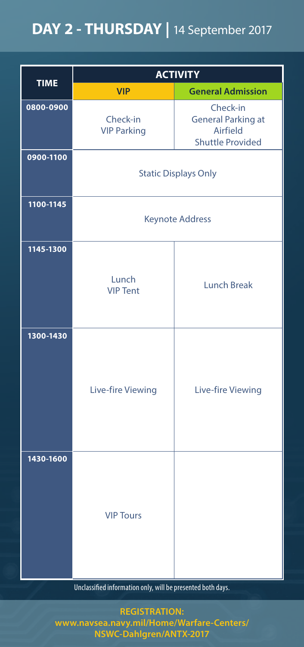## **DAY 2 - THURSDAY |** 14 September 2017

| <b>TIME</b> | <b>ACTIVITY</b>                |                                                                              |  |
|-------------|--------------------------------|------------------------------------------------------------------------------|--|
|             | <b>VIP</b>                     | <b>General Admission</b>                                                     |  |
| 0800-0900   | Check-in<br><b>VIP Parking</b> | Check-in<br><b>General Parking at</b><br>Airfield<br><b>Shuttle Provided</b> |  |
| 0900-1100   | <b>Static Displays Only</b>    |                                                                              |  |
| 1100-1145   | <b>Keynote Address</b>         |                                                                              |  |
| 1145-1300   | Lunch<br><b>VIP Tent</b>       | <b>Lunch Break</b>                                                           |  |
| 1300-1430   | Live-fire Viewing              | Live-fire Viewing                                                            |  |
| 1430-1600   | <b>VIP Tours</b>               |                                                                              |  |

Unclassified information only, will be presented both days.

**REGISTRATION: www.navsea.navy.mil/Home/Warfare-Centers/ NSWC-Dahlgren/ANTX-2017**